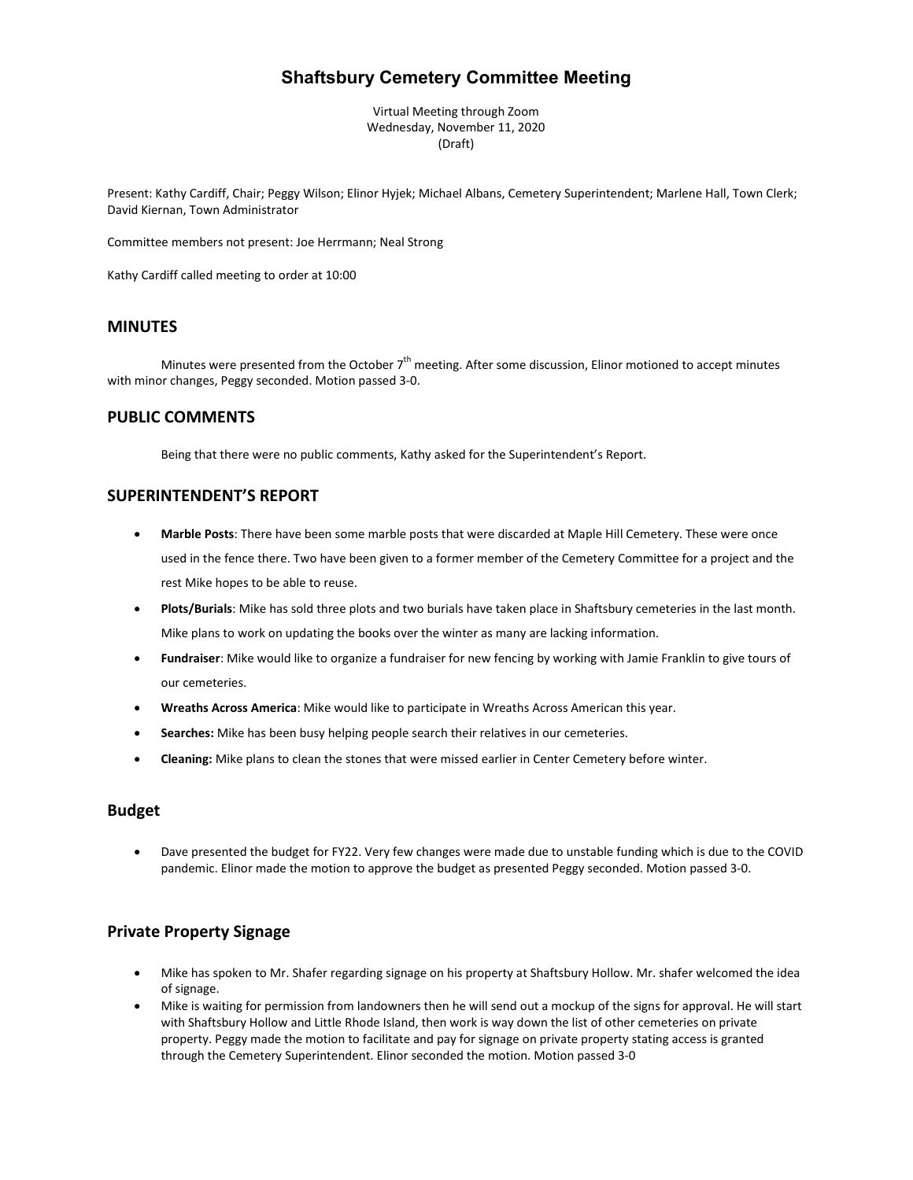# **Shaftsbury Cemetery Committee Meeting**

Virtual Meeting through Zoom Wednesday, November 11, 2020 (Draft)

Present: Kathy Cardiff, Chair; Peggy Wilson; Elinor Hyjek; Michael Albans, Cemetery Superintendent; Marlene Hall, Town Clerk; David Kiernan, Town Administrator

Committee members not present: Joe Herrmann; Neal Strong

Kathy Cardiff called meeting to order at 10:00

### **MINUTES**

Minutes were presented from the October 7<sup>th</sup> meeting. After some discussion, Elinor motioned to accept minutes with minor changes, Peggy seconded. Motion passed 3-0.

### **PUBLIC COMMENTS**

Being that there were no public comments, Kathy asked for the Superintendent's Report.

# **SUPERINTENDENT'S REPORT**

- **Marble Posts**: There have been some marble posts that were discarded at Maple Hill Cemetery. These were once used in the fence there. Two have been given to a former member of the Cemetery Committee for a project and the rest Mike hopes to be able to reuse.
- **Plots/Burials**: Mike has sold three plots and two burials have taken place in Shaftsbury cemeteries in the last month. Mike plans to work on updating the books over the winter as many are lacking information.
- **Fundraiser**: Mike would like to organize a fundraiser for new fencing by working with Jamie Franklin to give tours of our cemeteries.
- **Wreaths Across America**: Mike would like to participate in Wreaths Across American this year.
- **Searches:** Mike has been busy helping people search their relatives in our cemeteries.
- **Cleaning:** Mike plans to clean the stones that were missed earlier in Center Cemetery before winter.

## **Budget**

• Dave presented the budget for FY22. Very few changes were made due to unstable funding which is due to the COVID pandemic. Elinor made the motion to approve the budget as presented Peggy seconded. Motion passed 3-0.

#### **Private Property Signage**

- Mike has spoken to Mr. Shafer regarding signage on his property at Shaftsbury Hollow. Mr. shafer welcomed the idea of signage.
- Mike is waiting for permission from landowners then he will send out a mockup of the signs for approval. He will start with Shaftsbury Hollow and Little Rhode Island, then work is way down the list of other cemeteries on private property. Peggy made the motion to facilitate and pay for signage on private property stating access is granted through the Cemetery Superintendent. Elinor seconded the motion. Motion passed 3-0